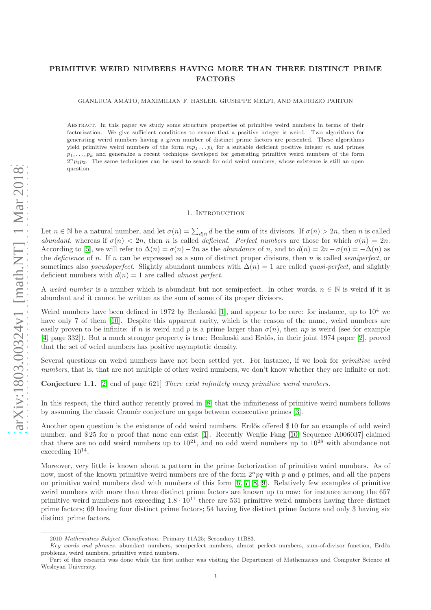# <span id="page-0-0"></span>PRIMITIVE WEIRD NUMBERS HAVING MORE THAN THREE DISTINCT PRIME FACTORS

GIANLUCA AMATO, MAXIMILIAN F. HASLER, GIUSEPPE MELFI, AND MAURIZIO PARTON

Abstract. In this paper we study some structure properties of primitive weird numbers in terms of their factorization. We give sufficient conditions to ensure that a positive integer is weird. Two algorithms for generating weird numbers having a given number of distinct prime factors are presented. These algorithms yield primitive weird numbers of the form  $mp_1 \ldots p_k$  for a suitable deficient positive integer m and primes  $p_1, \ldots, p_k$  and generalize a recent technique developed for generating primitive weird numbers of the form  $2^{n}p_1p_2$ . The same techniques can be used to search for odd weird numbers, whose existence is still an open question.

#### 1. Introduction

Let  $n \in \mathbb{N}$  be a natural number, and let  $\sigma(n) = \sum_{d|n} d$  be the sum of its divisors. If  $\sigma(n) > 2n$ , then n is called abundant, whereas if  $\sigma(n) < 2n$ , then n is called deficient. Perfect numbers are those for which  $\sigma(n) = 2n$ . According to [\[5\]](#page-5-0), we will refer to  $\Delta(n) = \sigma(n) - 2n$  as the *abundance* of n, and to  $d(n) = 2n - \sigma(n) = -\Delta(n)$  as the deficience of n. If n can be expressed as a sum of distinct proper divisors, then n is called *semiperfect*, or sometimes also *pseudoperfect*. Slightly abundant numbers with  $\Delta(n) = 1$  are called *quasi-perfect*, and slightly deficient numbers with  $d(n) = 1$  are called *almost perfect*.

A weird number is a number which is abundant but not semiperfect. In other words,  $n \in \mathbb{N}$  is weird if it is abundant and it cannot be written as the sum of some of its proper divisors.

Weird numbers have been defined in 1972 by Benkoski [\[1\]](#page-5-1), and appear to be rare: for instance, up to  $10^4$  we have only 7 of them [\[10\]](#page-5-2). Despite this apparent rarity, which is the reason of the name, weird numbers are easily proven to be infinite: if n is weird and p is a prime larger than  $\sigma(n)$ , then np is weird (see for example [\[4,](#page-5-3) page 332]). But a much stronger property is true: Benkoski and Erdős, in their joint 1974 paper [\[2\]](#page-5-4), proved that the set of weird numbers has positive asymptotic density.

Several questions on weird numbers have not been settled yet. For instance, if we look for *primitive weird* numbers, that is, that are not multiple of other weird numbers, we don't know whether they are infinite or not:

Conjecture 1.1. [\[2,](#page-5-4) end of page 621] There exist infinitely many primitive weird numbers.

In this respect, the third author recently proved in [\[8\]](#page-5-5) that the infiniteness of primitive weird numbers follows by assuming the classic Cramér conjecture on gaps between consecutive primes [\[3\]](#page-5-6).

Another open question is the existence of odd weird numbers. Erdős offered \$10 for an example of odd weird number, and \$ 25 for a proof that none can exist [\[1\]](#page-5-1). Recently Wenjie Fang [\[10,](#page-5-2) Sequence A006037] claimed that there are no odd weird numbers up to  $10^{21}$ , and no odd weird numbers up to  $10^{28}$  with abundance not exceeding  $10^{14}$ .

Moreover, very little is known about a pattern in the prime factorization of primitive weird numbers. As of now, most of the known primitive weird numbers are of the form  $2^{n}pq$  with p and q primes, and all the papers on primitive weird numbers deal with numbers of this form [\[6,](#page-5-7) [7,](#page-5-8) [8,](#page-5-5) [9\]](#page-5-9). Relatively few examples of primitive weird numbers with more than three distinct prime factors are known up to now: for instance among the 657 primitive weird numbers not exceeding  $1.8 \cdot 10^{11}$  there are 531 primitive weird numbers having three distinct prime factors; 69 having four distinct prime factors; 54 having five distinct prime factors and only 3 having six distinct prime factors.

<sup>2010</sup> Mathematics Subject Classification. Primary 11A25; Secondary 11B83.

Key words and phrases, abundant numbers, semiperfect numbers, almost perfect numbers, sum-of-divisor function, Erdős problems, weird numbers, primitive weird numbers.

Part of this research was done while the first author was visiting the Department of Mathematics and Computer Science at Wesleyan University.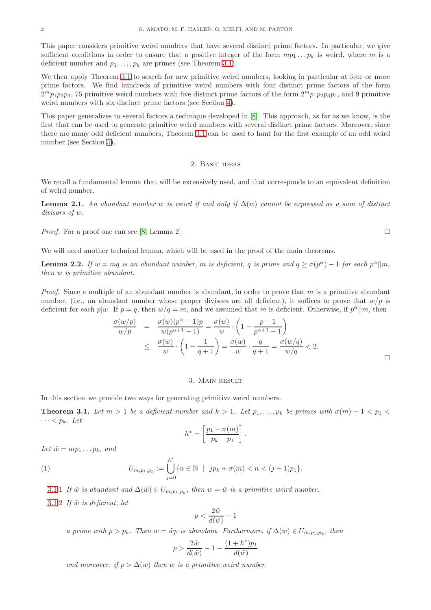<span id="page-1-4"></span>This paper considers primitive weird numbers that have several distinct prime factors. In particular, we give sufficient conditions in order to ensure that a positive integer of the form  $mp_1 \ldots p_k$  is weird, where m is a deficient number and  $p_1, \ldots, p_k$  are primes (see Theorem [3.1\)](#page-1-0).

We then apply Theorem [3.1](#page-1-0) to search for new primitive weird numbers, looking in particular at four or more prime factors. We find hundreds of primitive weird numbers with four distinct prime factors of the form  $2^m p_1 p_2 p_3$ , 75 primitive weird numbers with five distinct prime factors of the form  $2^m p_1 p_2 p_3 p_4$ , and 9 primitive weird numbers with six distinct prime factors (see Section [4\)](#page-3-0).

This paper generalizes to several factors a technique developed in [\[8\]](#page-5-5). This approach, as far as we know, is the first that can be used to generate primitive weird numbers with several distinct prime factors. Moreover, since there are many odd deficient numbers, Theorem [3.1](#page-1-0) can be used to hunt for the first example of an odd weird number (see Section [5\)](#page-4-0).

### 2. Basic ideas

We recall a fundamental lemma that will be extensively used, and that corresponds to an equivalent definition of weird number.

<span id="page-1-2"></span>**Lemma 2.1.** An abundant number w is weird if and only if  $\Delta(w)$  cannot be expressed as a sum of distinct divisors of w.

*Proof.* For a proof one can see [\[8,](#page-5-5) Lemma 2].

We will need another technical lemma, which will be used in the proof of the main theorems.

<span id="page-1-3"></span>**Lemma 2.2.** If  $w = mq$  is an abundant number, m is deficient, q is prime and  $q \ge \sigma(p^{\alpha}) - 1$  for each  $p^{\alpha}||m$ , then w is primitive abundant.

*Proof.* Since a multiple of an abundant number is abundant, in order to prove that m is a primitive abundant number, (i.e., an abundant number whose proper divisors are all deficient), it suffices to prove that  $w/p$  is deficient for each  $p|w$ . If  $p = q$ , then  $w/q = m$ , and we assumed that m is deficient. Otherwise, if  $p^{\alpha}||m$ , then

$$
\frac{\sigma(w/p)}{w/p} = \frac{\sigma(w)(p^{\alpha} - 1)p}{w(p^{\alpha+1} - 1)} = \frac{\sigma(w)}{w} \cdot \left(1 - \frac{p-1}{p^{\alpha+1} - 1}\right)
$$
\n
$$
\leq \frac{\sigma(w)}{w} \cdot \left(1 - \frac{1}{q+1}\right) = \frac{\sigma(w)}{w} \cdot \frac{q}{q+1} = \frac{\sigma(w/q)}{w/q} < 2.
$$

.

#### 3. Main result

In this section we provide two ways for generating primitive weird numbers.

<span id="page-1-0"></span>**Theorem 3.1.** Let  $m > 1$  be a deficient number and  $k > 1$ . Let  $p_1, \ldots, p_k$  be primes with  $\sigma(m) + 1 < p_1 <$  $\cdots < p_k$ . Let

<span id="page-1-1"></span>
$$
h^* = \left[\frac{p_1 - \sigma(m)}{p_k - p_1}\right]
$$

Let  $\tilde{w} = mp_1 \dots p_k$ , and

(1) 
$$
U_{m,p_1,p_k} := \bigcup_{j=0}^{h^*} \{n \in \mathbb{N} \mid j p_k + \sigma(m) < n < (j+1)p_1\}.
$$

[3.1.](#page-1-0)1 If  $\tilde{w}$  is abundant and  $\Delta(\tilde{w}) \in U_{m,p_1,p_k}$ , then  $w = \tilde{w}$  is a primitive weird number.

[3.1.](#page-1-0)2 If  $\tilde{w}$  is deficient, let

$$
p < \frac{2\tilde{w}}{d(\tilde{w})} - 1
$$

a prime with  $p > p_k$ . Then  $w = \tilde{w}p$  is abundant. Furthermore, if  $\Delta(w) \in U_{m,p_1,p_k}$ , then

$$
p > \frac{2\tilde{w}}{d(\tilde{w})} - 1 - \frac{(1+h^*)p_1}{d(\tilde{w})}
$$

and moreover, if  $p > \Delta(w)$  then w is a primitive weird number.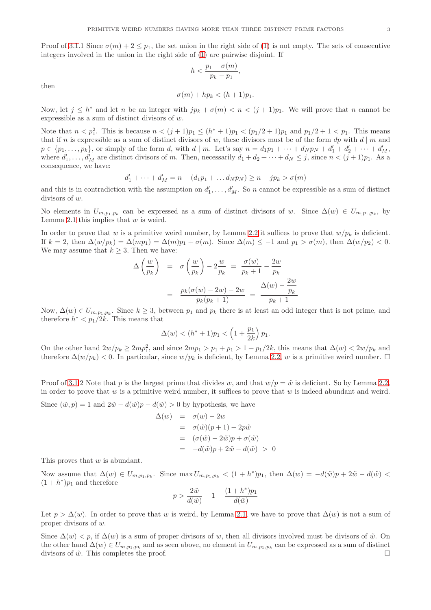Proof of [3.1.](#page-1-0)1 Since  $\sigma(m) + 2 \leq p_1$ , the set union in the right side of [\(1\)](#page-1-1) is not empty. The sets of consecutive integers involved in the union in the right side of [\(1\)](#page-1-1) are pairwise disjoint. If

$$
h < \frac{p_1 - \sigma(m)}{p_k - p_1},
$$

then

$$
\sigma(m) + hp_k < (h+1)p_1.
$$

Now, let  $j \leq h^*$  and let n be an integer with  $jp_k + \sigma(m) < n < (j+1)p_1$ . We will prove that n cannot be expressible as a sum of distinct divisors of w.

Note that  $n < p_1^2$ . This is because  $n < (j + 1)p_1 \le (h^* + 1)p_1 < (p_1/2 + 1)p_1$  and  $p_1/2 + 1 < p_1$ . This means that if n is expressible as a sum of distinct divisors of w, these divisors must be of the form  $dp$  with  $d | m$  and  $p \in \{p_1, \ldots, p_k\}$ , or simply of the form d, with  $d \mid m$ . Let's say  $n = d_1p_1 + \cdots + d_Np_N + d'_1 + d'_2 + \cdots + d'_M$ , where  $d'_1, \ldots, d'_M$  are distinct divisors of m. Then, necessarily  $d_1 + d_2 + \cdots + d_N \leq j$ , since  $n < (j + 1)p_1$ . As a consequence, we have:

$$
d'_1 + \dots + d'_M = n - (d_1 p_1 + \dots d_N p_N) \ge n - j p_k > \sigma(m)
$$

and this is in contradiction with the assumption on  $d'_1, \ldots, d'_M$ . So n cannot be expressible as a sum of distinct divisors of w.

No elements in  $U_{m,p_1,p_k}$  can be expressed as a sum of distinct divisors of w. Since  $\Delta(w) \in U_{m,p_1,p_k}$ , by Lemma [2.1](#page-1-2) this implies that  $w$  is weird.

In order to prove that w is a primitive weird number, by Lemma [2.2](#page-1-3) it suffices to prove that  $w/p_k$  is deficient. If  $k = 2$ , then  $\Delta(w/p_k) = \Delta(mp_1) = \Delta(m)p_1 + \sigma(m)$ . Since  $\Delta(m) \le -1$  and  $p_1 > \sigma(m)$ , then  $\Delta(w/p_2) < 0$ . We may assume that  $k \geq 3$ . Then we have:

$$
\Delta\left(\frac{w}{p_k}\right) = \sigma\left(\frac{w}{p_k}\right) - 2\frac{w}{p_k} = \frac{\sigma(w)}{p_k + 1} - \frac{2w}{p_k}
$$

$$
= \frac{p_k(\sigma(w) - 2w) - 2w}{p_k(p_k + 1)} = \frac{\Delta(w) - \frac{2w}{p_k}}{p_k + 1}
$$

Now,  $\Delta(w) \in U_{m,p_1,p_k}$ . Since  $k \geq 3$ , between  $p_1$  and  $p_k$  there is at least an odd integer that is not prime, and therefore  $h^* < p_1/2k$ . This means that

$$
\Delta(w) < (h^* + 1)p_1 < \left(1 + \frac{p_1}{2k}\right)p_1.
$$

On the other hand  $2w/p_k \ge 2mp_1^2$ , and since  $2mp_1 > p_1 + p_1 > 1 + p_1/2k$ , this means that  $\Delta(w) < 2w/p_k$  and therefore  $\Delta(w/p_k)$  < 0. In particular, since  $w/p_k$  is deficient, by Lemma [2.2,](#page-1-3) w is a primitive weird number.  $\Box$ 

Proof of [3.1.](#page-1-0)2 Note that p is the largest prime that divides w, and that  $w/p = \tilde{w}$  is deficient. So by Lemma [2.2,](#page-1-3) in order to prove that  $w$  is a primitive weird number, it suffices to prove that  $w$  is indeed abundant and weird.

Since  $(\tilde{w}, p) = 1$  and  $2\tilde{w} - d(\tilde{w})p - d(\tilde{w}) > 0$  by hypothesis, we have

$$
\Delta(w) = \sigma(w) - 2w
$$
  
=  $\sigma(\tilde{w})(p+1) - 2p\tilde{w}$   
=  $(\sigma(\tilde{w}) - 2\tilde{w})p + \sigma(\tilde{w})$   
=  $-d(\tilde{w})p + 2\tilde{w} - d(\tilde{w}) > 0$ 

This proves that w is abundant.

Now assume that  $\Delta(w) \in U_{m,p_1,p_k}$ . Since  $\max U_{m,p_1,p_k} < (1 + h^*)p_1$ , then  $\Delta(w) = -d(\tilde{w})p + 2\tilde{w} - d(\tilde{w}) <$  $(1 + h^*)p_1$  and therefore

$$
p > \frac{2\tilde{w}}{d(\tilde{w})} - 1 - \frac{(1 + h^*)p_1}{d(\tilde{w})}
$$

Let  $p > \Delta(w)$ . In order to prove that w is weird, by Lemma [2.1,](#page-1-2) we have to prove that  $\Delta(w)$  is not a sum of proper divisors of w.

Since  $\Delta(w) < p$ , if  $\Delta(w)$  is a sum of proper divisors of w, then all divisors involved must be divisors of  $\tilde{w}$ . On the other hand  $\Delta(w) \in U_{m,p_1,p_k}$  and as seen above, no element in  $U_{m,p_1,p_k}$  can be expressed as a sum of distinct divisors of  $\tilde{w}$ . This completes the proof.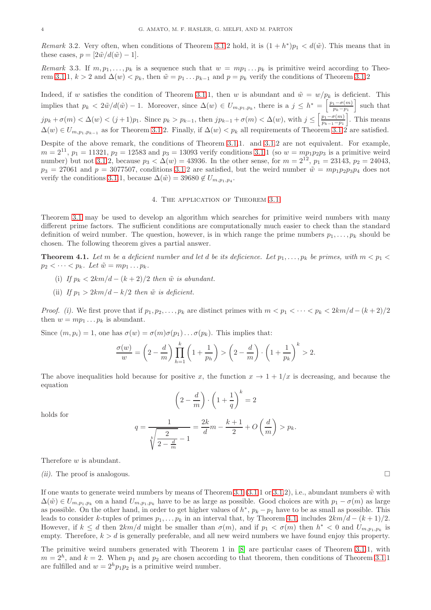<span id="page-3-2"></span>Remark 3.2. Very often, when conditions of Theorem [3.1.](#page-1-0)2 hold, it is  $(1 + h^*)p_1 < d(\tilde{w})$ . This means that in these cases,  $p = \left[2\tilde{w}/d(\tilde{w})-1\right]$ .

Remark 3.3. If  $m, p_1, \ldots, p_k$  is a sequence such that  $w = mp_1 \ldots p_k$  is primitive weird according to Theo-rem [3.1.](#page-1-0)1,  $k > 2$  and  $\Delta(w) < p_k$ , then  $\tilde{w} = p_1 \dots p_{k-1}$  and  $p = p_k$  verify the conditions of Theorem 3.1.2

Indeed, if w satisfies the condition of Theorem [3.1.](#page-1-0)1, then w is abundant and  $\tilde{w} = w/p_k$  is deficient. This implies that  $p_k < 2\tilde{w}/d(\tilde{w}) - 1$ . Moreover, since  $\Delta(w) \in U_{m,p_1,p_k}$ , there is a  $j \leq h^* = \left[\frac{p_1 - \sigma(m)}{p_k - p_1}\right]$  $\frac{1-\sigma(m)}{p_k-p_1}$  such that  $jp_k + \sigma(m) < \Delta(w) < (j+1)p_1$ . Since  $p_k > p_{k-1}$ , then  $jp_{k-1} + \sigma(m) < \Delta(w)$ , with  $j \leq \left[\frac{p_1 - \sigma(m)}{p_{k-1} - p_1}\right]$  $\frac{p_1 - \sigma(m)}{p_{k-1} - p_1}$ . This means  $\Delta(w) \in U_{m,p_1,p_{k-1}}$  as for Theorem [3.1.](#page-1-0)2. Finally, if  $\Delta(w) < p_k$  all requirements of Theorem 3.1.2 are satisfied.

Despite of the above remark, the conditions of Theorem [3.1.](#page-1-0)1. and [3.1.](#page-1-0)2 are not equivalent. For example,  $m = 2^{11}, p_1 = 11321, p_2 = 12583$  and  $p_3 = 13093$  verify conditions [3.1.](#page-1-0)1 (so  $w = mp_1p_2p_3$  is a primitive weird number) but not [3.1.](#page-1-0)2, because  $p_3 < \Delta(w) = 43936$ . In the other sense, for  $m = 2^{12}$ ,  $p_1 = 23143$ ,  $p_2 = 24043$ ,  $p_3 = 27061$  and  $p = 3077507$ , conditions [3.1.](#page-1-0)2 are satisfied, but the weird number  $\tilde{w} = mp_1p_2p_3p_4$  does not verify the conditions [3.1.](#page-1-0)1, because  $\Delta(\tilde{w}) = 39680 \notin U_{m,p_1,p_4}$ .

### 4. The application of Theorem [3.1](#page-1-0)

<span id="page-3-0"></span>Theorem [3.1](#page-1-0) may be used to develop an algorithm which searches for primitive weird numbers with many different prime factors. The sufficient conditions are computationally much easier to check than the standard definition of weird number. The question, however, is in which range the prime numbers  $p_1, \ldots, p_k$  should be chosen. The following theorem gives a partial answer.

<span id="page-3-1"></span>**Theorem 4.1.** Let m be a deficient number and let d be its deficience. Let  $p_1, \ldots, p_k$  be primes, with  $m < p_1 <$  $p_2 < \cdots < p_k$ . Let  $\tilde{w} = mp_1 \ldots p_k$ .

- (i) If  $p_k < 2km/d (k+2)/2$  then  $\tilde{w}$  is abundant.
- (ii) If  $p_1 > 2km/d k/2$  then  $\tilde{w}$  is deficient.

*Proof.* (i). We first prove that if  $p_1, p_2, \ldots, p_k$  are distinct primes with  $m < p_1 < \cdots < p_k < 2km/d - (k+2)/2$ then  $w = mp_1 \dots p_k$  is abundant.

Since  $(m, p_i) = 1$ , one has  $\sigma(w) = \sigma(m)\sigma(p_1) \dots \sigma(p_k)$ . This implies that:

$$
\frac{\sigma(w)}{w} = \left(2 - \frac{d}{m}\right) \prod_{h=1}^{k} \left(1 + \frac{1}{p_h}\right) > \left(2 - \frac{d}{m}\right) \cdot \left(1 + \frac{1}{p_k}\right)^k > 2.
$$

The above inequalities hold because for positive x, the function  $x \to 1 + 1/x$  is decreasing, and because the equation

 $\bigg) \cdot \bigg(1 + \frac{1}{\cdot}\bigg)$ 

q

 $\bigg)^k = 2$ 

 $\left(2-\frac{d}{2}\right)$ m

holds for

$$
q = \frac{1}{\sqrt[k]{\frac{2}{2 - \frac{d}{m}}} - 1} = \frac{2k}{d}m - \frac{k+1}{2} + O\left(\frac{d}{m}\right) > p_k.
$$

Therefore w is abundant.

(ii). The proof is analogous.

If one wants to generate weird numbers by means of Theorem [3.1 \(3.1.](#page-1-0)1 or [3.1.](#page-1-0)2), i.e., abundant numbers  $\tilde{w}$  with  $\Delta(\tilde{w}) \in U_{m,p_1,p_k}$  on a hand  $U_{m,p_1,p_k}$  have to be as large as possible. Good choices are with  $p_1 - \sigma(m)$  as large as possible. On the other hand, in order to get higher values of  $h^*$ ,  $p_k - p_1$  have to be as small as possible. This leads to consider k-tuples of primes  $p_1, \ldots, p_k$  in an interval that, by Theorem [4.1,](#page-3-1) includes  $2km/d - (k+1)/2$ . However, if  $k \leq d$  then  $2km/d$  might be smaller than  $\sigma(m)$ , and if  $p_1 < \sigma(m)$  then  $h^* < 0$  and  $U_{m,p_1,p_k}$  is empty. Therefore,  $k > d$  is generally preferable, and all new weird numbers we have found enjoy this property.

The primitive weird numbers generated with Theorem 1 in [\[8\]](#page-5-5) are particular cases of Theorem [3.1.](#page-1-0)1, with  $m = 2<sup>h</sup>$ , and  $k = 2$ . When  $p_1$  and  $p_2$  are chosen according to that theorem, then conditions of Theorem [3.1.](#page-1-0)1 are fulfilled and  $w = 2<sup>h</sup> p_1 p_2$  is a primitive weird number.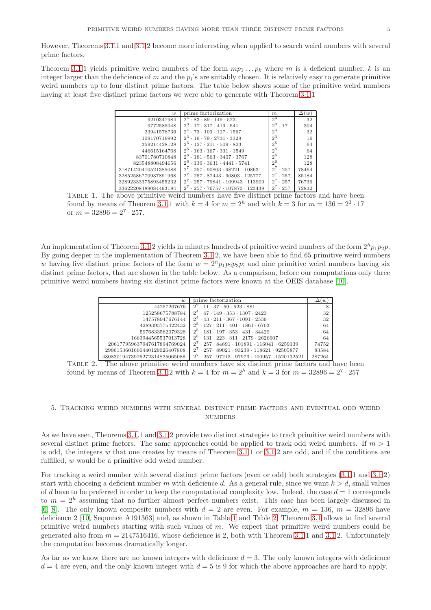<span id="page-4-3"></span>However, Theorems [3.1.](#page-1-0)1 and [3.1.](#page-1-0)2 become more interesting when applied to search weird numbers with several prime factors.

Theorem [3.1.](#page-1-0)1 yields primitive weird numbers of the form  $mp_1 \ldots p_k$  where m is a deficient number, k is an integer larger than the deficience of m and the  $p_i$ 's are suitably chosen. It is relatively easy to generate primitive weird numbers up to four distinct prime factors. The table below shows some of the primitive weird numbers having at least five distinct prime factors we were able to generate with Theorem [3.1.](#page-1-0)1

| w                    | prime factorization                                               | m               | $\iota w$ |
|----------------------|-------------------------------------------------------------------|-----------------|-----------|
| 9210347984           | $2^4 \cdot 83 \cdot 89 \cdot 149 \cdot 523$                       | $2^4$           | 32        |
| 9772585048           | $2^3 \cdot 17 \cdot 317 \cdot 419 \cdot 541$                      | $2^3 \cdot 17$  | 304       |
| 23941578736          | $2^4 \cdot 73 \cdot 103 \cdot 127 \cdot 1567$                     | 2 <sup>4</sup>  | 32        |
| 109170719992         | $2^3 \cdot 19 \cdot 79 \cdot 2731 \cdot 3329$                     | $2^3$           | 16        |
| 359214428128         | $2^5 \cdot 127 \cdot 211 \cdot 509 \cdot 823$                     | 2 <sup>5</sup>  | 64        |
| 446615164768         | $2^5 \cdot 163 \cdot 167 \cdot 331 \cdot 1549$                    | 2 <sup>5</sup>  | 64        |
| 83701780710848       | $2^6 \cdot 181 \cdot 563 \cdot 3407 \cdot 3767$                   | 2 <sup>6</sup>  | 128       |
| 823548808494656      | $2^6 \cdot 139 \cdot 3631 \cdot 4441 \cdot 5741$                  | $2^6$           | 128       |
| 31871420410521385088 | $2' \cdot 257 \cdot 90803 \cdot 98221 \cdot 108631$               | $2^{7}$<br>.257 | 78464     |
| 32852586770937891968 | $2^{7}$<br>$\cdot$ 257 $\cdot$ 87443 $\cdot$ 90803 $\cdot$ 125777 | $2^{7}$<br>.257 | 85184     |
| 32892333375893455232 | $2^{7} \cdot 257 \cdot 79841 \cdot 109943 \cdot 113909$           | $2^{7}$<br>.257 | 76736     |
| 33622208489084493184 | $-257 - 76757 - 107873 - 123439$<br>$2^t$                         | $2^t$<br>.257   | 72832     |

<span id="page-4-1"></span>Table 1. The above primitive weird numbers have five distinct prime factors and have been found by means of Theorem [3.1.](#page-1-0)1 with  $k = 4$  for  $m = 2<sup>h</sup>$  and with  $k = 3$  for  $m = 136 = 2<sup>3</sup> \cdot 17$ or  $m = 32896 = 2^7 \cdot 257$ .

An implementation of Theorem [3.1.](#page-1-0)2 yields in minutes hundreds of primitive weird numbers of the form  $2^h p_1 p_2 p$ . By going deeper in the implementation of Theorem [3.1.](#page-1-0)2, we have been able to find 65 primitive weird numbers w having five distinct prime factors of the form  $w = 2<sup>h</sup>p_1p_2p_3p$ ; and nine primitive weird numbers having six distinct prime factors, that are shown in the table below. As a comparison, before our computations only three primitive weird numbers having six distinct prime factors were known at the OEIS database [\[10\]](#page-5-2).

| w                             | prime factorization                                                   | $\langle w \rangle$ |  |
|-------------------------------|-----------------------------------------------------------------------|---------------------|--|
| 44257207676                   | $2^2 \cdot 11 \cdot 37 \cdot 59 \cdot 523 \cdot 881$                  |                     |  |
| 125258675788784               | $2^4 \cdot 47 \cdot 149 \cdot 353 \cdot 1307 \cdot 2423$              | 32                  |  |
| 147578947676144               | $2^4 \cdot 43 \cdot 211 \cdot 367 \cdot 1091 \cdot 2539$              | 32                  |  |
| 4289395775422432              | $2^5 \cdot 127 \cdot 211 \cdot 401 \cdot 1861 \cdot 6703$             | 64                  |  |
| 5976833582079328              | $2^5 \cdot 181 \cdot 197 \cdot 353 \cdot 431 \cdot 34429$             | 64                  |  |
| 1663944565537013728           | $2^5 \cdot 131 \cdot 223 \cdot 311 \cdot 2179 \cdot 2626607$          | 64                  |  |
| 206177959637947617894769024   | $2^{7} \cdot 257 \cdot 84691 \cdot 101891 \cdot 116041 \cdot 6259139$ | 74752               |  |
| 2996153601600440129026407808  | $2^7 \cdot 257 \cdot 89021 \cdot 93239 \cdot 118621 \cdot 92505877$   | 83584               |  |
| 48083019473926272314825065088 | $2^7 \cdot 257 \cdot 97213 \cdot 97973 \cdot 100957 \cdot 1520132521$ | 287264              |  |

<span id="page-4-2"></span>TABLE 2. The above primitive weird numbers have six distinct prime factors and have been found by means of Theorem [3.1.](#page-1-0)2 with  $k = 4$  for  $m = 2<sup>h</sup>$  and  $k = 3$  for  $m = 32896 = 2<sup>7</sup> \cdot 257$ 

## <span id="page-4-0"></span>5. Tracking weird numbers with several distinct prime factors and eventual odd weird **NUMBERS**

As we have seen, Theorems [3.1.](#page-1-0)1 and [3.1.](#page-1-0)2 provide two distinct strategies to track primitive weird numbers with several distinct prime factors. The same approaches could be applied to track odd weird numbers. If  $m > 1$ is odd, the integers w that one creates by means of Theorem [3.1.](#page-1-0)1 or [3.1.](#page-1-0)2 are odd, and if the conditions are fulfilled, w would be a primitive odd weird number.

For tracking a weird number with several distinct prime factors (even or odd) both strategies [\(3.1.](#page-1-0)1 and [3.1.](#page-1-0)2) start with choosing a deficient number m with deficience d. As a general rule, since we want  $k > d$ , small values of d have to be preferred in order to keep the computational complexity low. Indeed, the case  $d = 1$  corresponds to  $m = 2<sup>h</sup>$  assuming that no further almost perfect numbers exist. This case has been largely discussed in [\[6,](#page-5-7) [8\]](#page-5-5). The only known composite numbers with  $d = 2$  are even. For example,  $m = 136$ ,  $m = 32896$  have deficience 2 [\[10,](#page-5-2) Sequence A191363] and, as shown in Table [1](#page-4-1) and Table [2,](#page-4-2) Theorem [3.1](#page-1-0) allows to find several primitive weird numbers starting with such values of m. We expect that primitive weird numbers could be generated also from  $m = 2147516416$ , whose deficience is 2, both with Theorem [3.1.](#page-1-0)1 and 3.1.2. Unfortunately the computation becomes dramatically longer.

As far as we know there are no known integers with deficience  $d = 3$ . The only known integers with deficience  $d = 4$  are even, and the only known integer with  $d = 5$  is 9 for which the above approaches are hard to apply.